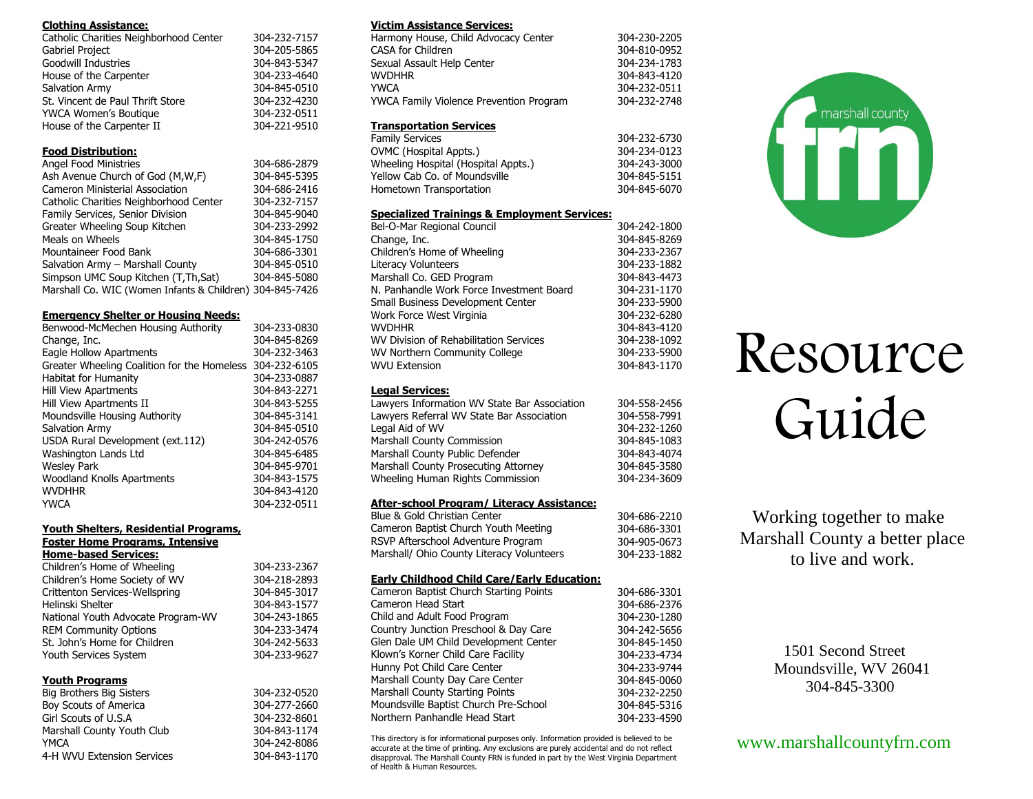#### **Clothing Assistance:**

| Catholic Charities Neighborhood Center | 304-232-7157 |
|----------------------------------------|--------------|
| Gabriel Project                        | 304-205-5865 |
| Goodwill Industries                    | 304-843-5347 |
| House of the Carpenter                 | 304-233-4640 |
| Salvation Army                         | 304-845-0510 |
| St. Vincent de Paul Thrift Store       | 304-232-4230 |
| YWCA Women's Boutique                  | 304-232-0511 |
| House of the Carpenter II              | 304-221-9510 |

#### **Food Distribution:**

| <b>Angel Food Ministries</b>                             | 304-686-2879 |
|----------------------------------------------------------|--------------|
| Ash Avenue Church of God (M, W, F)                       | 304-845-5395 |
| <b>Cameron Ministerial Association</b>                   | 304-686-2416 |
| Catholic Charities Neighborhood Center                   | 304-232-7157 |
| Family Services, Senior Division                         | 304-845-9040 |
| Greater Wheeling Soup Kitchen                            | 304-233-2992 |
| Meals on Wheels                                          | 304-845-1750 |
| Mountaineer Food Bank                                    | 304-686-3301 |
| Salvation Army - Marshall County                         | 304-845-0510 |
| Simpson UMC Soup Kitchen (T,Th,Sat)                      | 304-845-5080 |
| Marshall Co. WIC (Women Infants & Children) 304-845-7426 |              |

#### **Emergency Shelter or Housing Needs:**

| Benwood-McMechen Housing Authority                       | 304-233-0830 |
|----------------------------------------------------------|--------------|
| Change, Inc.                                             | 304-845-8269 |
| Eagle Hollow Apartments                                  | 304-232-3463 |
| Greater Wheeling Coalition for the Homeless 304-232-6105 |              |
| <b>Habitat for Humanity</b>                              | 304-233-0887 |
| <b>Hill View Apartments</b>                              | 304-843-2271 |
| Hill View Apartments II                                  | 304-843-5255 |
| Moundsville Housing Authority                            | 304-845-3141 |
| Salvation Army                                           | 304-845-0510 |
| USDA Rural Development (ext.112)                         | 304-242-0576 |
| Washington Lands Ltd                                     | 304-845-6485 |
| <b>Wesley Park</b>                                       | 304-845-9701 |
| <b>Woodland Knolls Apartments</b>                        | 304-843-1575 |
| <b>WVDHHR</b>                                            | 304-843-4120 |
| <b>YWCA</b>                                              | 304-232-0511 |

#### **Youth Shelters, Residential Programs, Foster Home Programs, Intensive Home-based Services:**

| Children's Home of Wheeling        | 304-233-2367 |
|------------------------------------|--------------|
| Children's Home Society of WV      | 304-218-2893 |
| Crittenton Services-Wellspring     | 304-845-3017 |
| Helinski Shelter                   | 304-843-1577 |
| National Youth Advocate Program-WV | 304-243-1865 |
| <b>REM Community Options</b>       | 304-233-3474 |
| St. John's Home for Children       | 304-242-5633 |
| Youth Services System              | 304-233-9627 |
|                                    |              |

#### **Youth Programs**

| 304-232-0520 |
|--------------|
| 304-277-2660 |
| 304-232-8601 |
| 304-843-1174 |
| 304-242-8086 |
| 304-843-1170 |
|              |

#### **Victim Assistance Services:**

| Harmony House, Child Advocacy Center           | 304-230-2205 |
|------------------------------------------------|--------------|
| CASA for Children                              | 304-810-0952 |
| Sexual Assault Help Center                     | 304-234-1783 |
| <b>WVDHHR</b>                                  | 304-843-4120 |
| <b>YWCA</b>                                    | 304-232-0511 |
| <b>YWCA Family Violence Prevention Program</b> | 304-232-2748 |
|                                                |              |

#### **Transportation Services**

| <b>Family Services</b>              | 304-232-6730 |
|-------------------------------------|--------------|
| OVMC (Hospital Appts.)              | 304-234-0123 |
| Wheeling Hospital (Hospital Appts.) | 304-243-3000 |
| Yellow Cab Co. of Moundsville       | 304-845-5151 |
| Hometown Transportation             | 304-845-6070 |
|                                     |              |

#### **Specialized Trainings & Employment Services:**

| Bel-O-Mar Regional Council               | 304-242-1800 |
|------------------------------------------|--------------|
| Change, Inc.                             | 304-845-8269 |
| Children's Home of Wheeling              | 304-233-2367 |
| <b>Literacy Volunteers</b>               | 304-233-1882 |
| Marshall Co. GED Program                 | 304-843-4473 |
| N. Panhandle Work Force Investment Board | 304-231-1170 |
| Small Business Development Center        | 304-233-5900 |
| Work Force West Virginia                 | 304-232-6280 |
| <b>WVDHHR</b>                            | 304-843-4120 |
| WV Division of Rehabilitation Services   | 304-238-1092 |
| WV Northern Community College            | 304-233-5900 |
| <b>WVU Extension</b>                     | 304-843-1170 |
|                                          |              |

#### **Legal Services:**

#### **After-school Program/ Literacy Assistance:**

| Blue & Gold Christian Center              | 304-686-2210 |
|-------------------------------------------|--------------|
| Cameron Baptist Church Youth Meeting      | 304-686-3301 |
| RSVP Afterschool Adventure Program        | 304-905-0673 |
| Marshall/ Ohio County Literacy Volunteers | 304-233-1882 |
|                                           |              |

#### **Early Childhood Child Care/Early Education:**

| EGITT CHINGHOOG CHING CGIC/EGITT EGGCGCIONI |              |
|---------------------------------------------|--------------|
| Cameron Baptist Church Starting Points      | 304-686-3301 |
| Cameron Head Start                          | 304-686-2376 |
| Child and Adult Food Program                | 304-230-1280 |
| Country Junction Preschool & Day Care       | 304-242-5656 |
| Glen Dale UM Child Development Center       | 304-845-1450 |
| Klown's Korner Child Care Facility          | 304-233-4734 |
| Hunny Pot Child Care Center                 | 304-233-9744 |
| Marshall County Day Care Center             | 304-845-0060 |
| <b>Marshall County Starting Points</b>      | 304-232-2250 |
| Moundsville Baptist Church Pre-School       | 304-845-5316 |
| Northern Panhandle Head Start               | 304-233-4590 |
|                                             |              |

This directory is for informational purposes only. Information provided is believed to be accurate at the time of printing. Any exclusions are purely accidental and do not reflect disapproval. The Marshall County FRN is funded in part by the West Virginia Department of Health & Human Resources.



# Resource Guide

Working together to make Marshall County a better place to live and work.

> 1501 Second Street Moundsville, WV 26041 304-845-3300

### www.marshallcountyfrn.com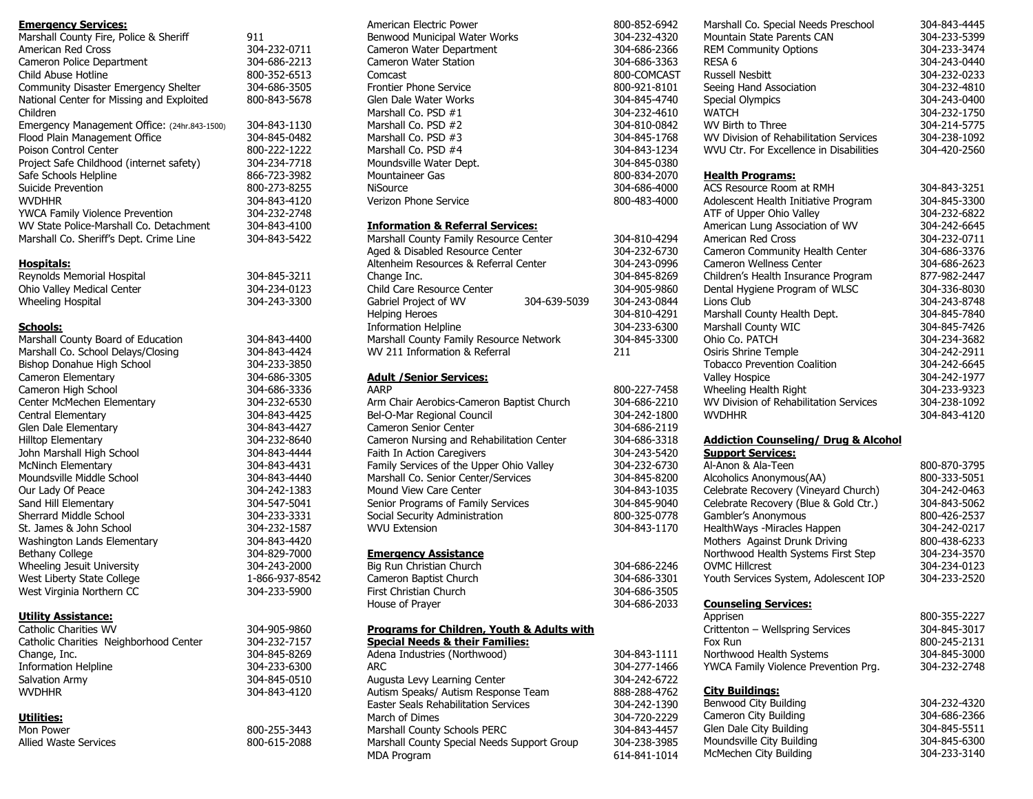#### **Emergency Services:**

| Marshall County Fire, Police & Sheriff       | 911          |
|----------------------------------------------|--------------|
| American Red Cross                           | 304-232-0711 |
| Cameron Police Department                    | 304-686-2213 |
| Child Abuse Hotline                          | 800-352-6513 |
| Community Disaster Emergency Shelter         | 304-686-3505 |
| National Center for Missing and Exploited    | 800-843-5678 |
| Children                                     |              |
| Emergency Management Office: (24hr.843-1500) | 304-843-1130 |
| Flood Plain Management Office                | 304-845-0482 |
| Poison Control Center                        | 800-222-1222 |
| Project Safe Childhood (internet safety)     | 304-234-7718 |
| Safe Schools Helpline                        | 866-723-3982 |
| Suicide Prevention                           | 800-273-8255 |
| WVDHHR                                       | 304-843-4120 |
| <b>YWCA Family Violence Prevention</b>       | 304-232-2748 |
| WV State Police-Marshall Co. Detachment      | 304-843-4100 |
| Marshall Co. Sheriff's Dept. Crime Line      | 304-843-5422 |
|                                              |              |

#### **Hospitals:**

Reynolds Memorial Hospital Ohio Valley Medical Center Wheeling Hospital 304-845-3211 304-234-0123 304-243-3300

#### **Schools:**

| Marshall County Board of Education | 304-843-4400   |
|------------------------------------|----------------|
| Marshall Co. School Delays/Closing | 304-843-4424   |
| Bishop Donahue High School         | 304-233-3850   |
| Cameron Elementary                 | 304-686-3305   |
| Cameron High School                | 304-686-3336   |
| Center McMechen Elementary         | 304-232-6530   |
| Central Elementary                 | 304-843-4425   |
| Glen Dale Elementary               | 304-843-4427   |
| <b>Hilltop Elementary</b>          | 304-232-8640   |
| John Marshall High School          | 304-843-4444   |
| McNinch Elementary                 | 304-843-4431   |
| Moundsville Middle School          | 304-843-4440   |
| Our Lady Of Peace                  | 304-242-1383   |
| Sand Hill Elementary               | 304-547-5041   |
| Sherrard Middle School             | 304-233-3331   |
| St. James & John School            | 304-232-1587   |
| Washington Lands Elementary        | 304-843-4420   |
| Bethany College                    | 304-829-7000   |
| Wheeling Jesuit University         | 304-243-2000   |
| West Liberty State College         | 1-866-937-8542 |
| West Virginia Northern CC          | 304-233-5900   |
|                                    |                |

#### **Utility Assistance:**

Catholic Charities WV Catholic Charities Neighborhood Center Change, Inc. Information Helpline Salvation Army **WVDHHR** 

#### **Utilities:**

Mon Power Allied Waste Services

American Electric Power Benwood Municipal Water Works Cameron Water Department Cameron Water Station Comcast Frontier Phone Service Glen Dale Water Works Marshall Co. PSD #1 Marshall Co. PSD #2 Marshall Co. PSD #3 Marshall Co. PSD #4 Moundsville Water Dept. Mountaineer Gas **NiSource** Verizon Phone Service

#### **Information & Referral Services:**

|                                         | Marshall County Family Resource Center |              |
|-----------------------------------------|----------------------------------------|--------------|
|                                         | Aged & Disabled Resource Center        |              |
|                                         | Altenheim Resources & Referral Center  |              |
|                                         | Change Inc.                            |              |
|                                         | Child Care Resource Center             |              |
|                                         | Gabriel Project of WV                  | 304-639-5039 |
|                                         | <b>Helping Heroes</b>                  |              |
|                                         | <b>Information Helpline</b>            |              |
| Marshall County Family Resource Network |                                        |              |
|                                         | WV 211 Information & Referral          |              |
|                                         |                                        |              |

#### **Adult /Senior Services:**

AARP Arm Chair Aerobics-Cameron Baptist Church Bel-O-Mar Regional Council Cameron Senior Center Cameron Nursing and Rehabilitation Center Faith In Action Caregivers Family Services of the Upper Ohio Valley Marshall Co. Senior Center/Services Mound View Care Center Senior Programs of Family Services Social Security Administration WVU Extension

#### **Emergency Assistance**

Big Run Christian Church Cameron Baptist Church First Christian Church House of Prayer

304-905-9860 304-232-7157 304-845-8269 304-233-6300 304-845-0510 304-843-4120

800-255-3443 800-615-2088

#### **Programs for Children, Youth & Adults with Special Needs & their Families:**

Adena Industries (Northwood) ARC Augusta Levy Learning Center Autism Speaks/ Autism Response Team Easter Seals Rehabilitation Services March of Dimes Marshall County Schools PERC Marshall County Special Needs Support Group MDA Program

| 800-852-6942<br>304-232-4320<br>304-686-2366<br>304-686-3363<br>800-COMCAST<br>800-921-8101<br>304-845-4740<br>304-232-4610<br>304-810-0842 | Marshall Co. Special Needs Preschool<br>Mountain State Parents CAN<br><b>REM Community Options</b><br>RESA <sub>6</sub><br><b>Russell Nesbitt</b><br>Seeing Hand Association<br><b>Special Olympics</b><br><b>WATCH</b><br>WV Birth to Three | 304-843-4445<br>304-233-5399<br>304-233-3474<br>304-243-0440<br>304-232-0233<br>304-232-4810<br>304-243-0400<br>304-232-1750<br>304-214-5775 |
|---------------------------------------------------------------------------------------------------------------------------------------------|----------------------------------------------------------------------------------------------------------------------------------------------------------------------------------------------------------------------------------------------|----------------------------------------------------------------------------------------------------------------------------------------------|
| 304-845-1768                                                                                                                                | WV Division of Rehabilitation Services                                                                                                                                                                                                       | 304-238-1092                                                                                                                                 |
| 304-843-1234                                                                                                                                | WVU Ctr. For Excellence in Disabilities                                                                                                                                                                                                      | 304-420-2560                                                                                                                                 |
| 304-845-0380<br>800-834-2070                                                                                                                | <b>Health Programs:</b>                                                                                                                                                                                                                      |                                                                                                                                              |
|                                                                                                                                             | ACS Resource Room at RMH                                                                                                                                                                                                                     |                                                                                                                                              |
| 304-686-4000                                                                                                                                |                                                                                                                                                                                                                                              | 304-843-3251                                                                                                                                 |
| 800-483-4000                                                                                                                                | Adolescent Health Initiative Program                                                                                                                                                                                                         | 304-845-3300                                                                                                                                 |
|                                                                                                                                             | ATF of Upper Ohio Valley                                                                                                                                                                                                                     | 304-232-6822                                                                                                                                 |
|                                                                                                                                             | American Lung Association of WV                                                                                                                                                                                                              | 304-242-6645                                                                                                                                 |
| 304-810-4294                                                                                                                                | <b>American Red Cross</b>                                                                                                                                                                                                                    | 304-232-0711                                                                                                                                 |
| 304-232-6730                                                                                                                                | Cameron Community Health Center                                                                                                                                                                                                              | 304-686-3376                                                                                                                                 |
| 304-243-0996                                                                                                                                | Cameron Wellness Center                                                                                                                                                                                                                      | 304-686-2623                                                                                                                                 |
| 304-845-8269                                                                                                                                | Children's Health Insurance Program                                                                                                                                                                                                          | 877-982-2447                                                                                                                                 |
| 304-905-9860                                                                                                                                | Dental Hygiene Program of WLSC                                                                                                                                                                                                               | 304-336-8030                                                                                                                                 |
| 304-243-0844                                                                                                                                | Lions Club                                                                                                                                                                                                                                   | 304-243-8748                                                                                                                                 |
| 304-810-4291                                                                                                                                | Marshall County Health Dept.                                                                                                                                                                                                                 | 304-845-7840                                                                                                                                 |
| 304-233-6300                                                                                                                                | Marshall County WIC                                                                                                                                                                                                                          | 304-845-7426                                                                                                                                 |
| 304-845-3300                                                                                                                                | Ohio Co. PATCH                                                                                                                                                                                                                               | 304-234-3682                                                                                                                                 |
| 211                                                                                                                                         | Osiris Shrine Temple                                                                                                                                                                                                                         | 304-242-2911                                                                                                                                 |
|                                                                                                                                             | <b>Tobacco Prevention Coalition</b>                                                                                                                                                                                                          | 304-242-6645                                                                                                                                 |
|                                                                                                                                             | <b>Valley Hospice</b>                                                                                                                                                                                                                        | 304-242-1977                                                                                                                                 |
| 800-227-7458                                                                                                                                | Wheeling Health Right                                                                                                                                                                                                                        | 304-233-9323                                                                                                                                 |
| 304-686-2210                                                                                                                                | WV Division of Rehabilitation Services                                                                                                                                                                                                       | 304-238-1092                                                                                                                                 |
| 304-242-1800                                                                                                                                | <b>WVDHHR</b>                                                                                                                                                                                                                                | 304-843-4120                                                                                                                                 |
| 304-686-2119                                                                                                                                |                                                                                                                                                                                                                                              |                                                                                                                                              |
| 304-686-3318                                                                                                                                | <b>Addiction Counseling/ Drug &amp; Alcohol</b>                                                                                                                                                                                              |                                                                                                                                              |
| 304-243-5420                                                                                                                                | <b>Support Services:</b>                                                                                                                                                                                                                     |                                                                                                                                              |
| 304-232-6730                                                                                                                                | Al-Anon & Ala-Teen                                                                                                                                                                                                                           | 800-870-3795                                                                                                                                 |
| 304-845-8200                                                                                                                                | Alcoholics Anonymous(AA)                                                                                                                                                                                                                     | 800-333-5051                                                                                                                                 |
| 304-843-1035                                                                                                                                | Celebrate Recovery (Vineyard Church)                                                                                                                                                                                                         | 304-242-0463                                                                                                                                 |
| 304-845-9040                                                                                                                                | Celebrate Recovery (Blue & Gold Ctr.)                                                                                                                                                                                                        | 304-843-5062                                                                                                                                 |
| 800-325-0778                                                                                                                                | Gambler's Anonymous                                                                                                                                                                                                                          | 800-426-2537                                                                                                                                 |
| 304-843-1170                                                                                                                                | HealthWays -Miracles Happen                                                                                                                                                                                                                  | 304-242-0217                                                                                                                                 |

| 304-843-1170 | HealthWays -Miracles Happen    |
|--------------|--------------------------------|
|              | Mothers Against Drunk Driving  |
|              | Northwood Health Systems Firs  |
| 304-686-2246 | <b>OVMC Hillcrest</b>          |
| 304-686-3301 | Youth Services System, Adoleso |
| 304-686-3505 |                                |

304-686-2033

304-843-1111 304-277-1466 304-242-6722 888-288-4762 304-242-1390 304-720-2229 304-843-4457 304-238-3985 614-841-1014

| Northwood Health Systems First Step   | 304-234-3570 |
|---------------------------------------|--------------|
| OVMC Hillcrest                        | 304-234-0123 |
| Youth Services System, Adolescent IOP | 304-233-2520 |
|                                       |              |

#### **Counseling Services:**

| Apprisen                             | 800-355-2227 |
|--------------------------------------|--------------|
| Crittenton - Wellspring Services     | 304-845-3017 |
| Fox Run                              | 800-245-2131 |
| Northwood Health Systems             | 304-845-3000 |
| YWCA Family Violence Prevention Prg. | 304-232-2748 |
|                                      |              |

800-438-6233

#### **City Buildings:**

| Benwood City Building     | 304-232-4320 |
|---------------------------|--------------|
| Cameron City Building     | 304-686-2366 |
| Glen Dale City Building   | 304-845-5511 |
| Moundsville City Building | 304-845-6300 |
| McMechen City Building    | 304-233-3140 |
|                           |              |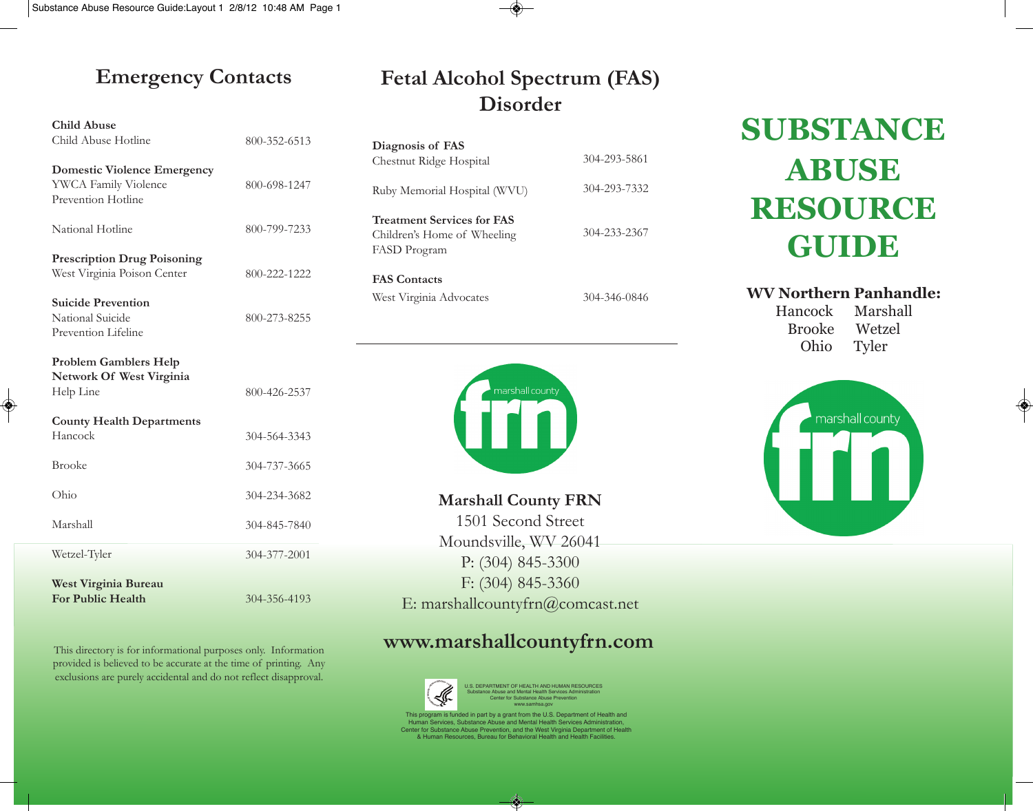### **Emergency Contacts**

| <b>Child Abuse</b>                                                               |              |
|----------------------------------------------------------------------------------|--------------|
| Child Abuse Hotline                                                              | 800-352-6513 |
| <b>Domestic Violence Emergency</b><br>YWCA Family Violence<br>Prevention Hotline | 800-698-1247 |
| National Hotline                                                                 | 800-799-7233 |
| <b>Prescription Drug Poisoning</b><br>West Virginia Poison Center                | 800-222-1222 |
| <b>Suicide Prevention</b><br>National Suicide<br>Prevention Lifeline             | 800-273-8255 |
| <b>Problem Gamblers Help</b><br>Network Of West Virginia<br>Help Line            | 800-426-2537 |
| <b>County Health Departments</b><br>Hancock                                      | 304-564-3343 |
| <b>Brooke</b>                                                                    | 304-737-3665 |
| Ohio                                                                             | 304-234-3682 |
| Marshall                                                                         | 304-845-7840 |
| Wetzel-Tyler                                                                     | 304-377-2001 |
| West Virginia Bureau<br><b>For Public Health</b>                                 | 304-356-4193 |

◈

This directory is for informational purposes only. Information provided is believed to be accurate at the time of printing. Any exclusions are purely accidental and do not reflect disapproval.

### **Fetal Alcohol Spectrum (FAS) Disorder**

| Diagnosis of FAS<br>Chestnut Ridge Hospital                                      | 304-293-5861 |
|----------------------------------------------------------------------------------|--------------|
| Ruby Memorial Hospital (WVU)                                                     | 304-293-7332 |
| <b>Treatment Services for FAS</b><br>Children's Home of Wheeling<br>FASD Program | 304-233-2367 |
| <b>FAS Contacts</b>                                                              |              |
| West Virginia Advocates                                                          | 304-346-0846 |

marshall county

**Marshall County FRN** 1501 Second Street Moundsville, WV 26041 P: (304) 845-3300 F: (304) 845-3360 E: marshallcountyfrn@comcast.net

### **www.marshallcountyfrn.com**



U.S. DEPARTMENT OF HEALTH AND HUMAN RESOURCES Substance Abuse and Mental Health Services Administration Center for Substance Abuse Prevention www.samhsa.gov

This program is funded in part by a grant from the U.S. Department of Health and<br>Human Services, Substance Abuse and Mental Health Services Administration,<br>Center for Substance Abuse Prevention, and the West Virginia Depar Irces, Bureau for Behavioral Health and Health Facilit

⊛

# **SUBSTANCE ABUSE RESOURCE GUIDE**

**WV Northern Panhandle:**

Hancock Marshall Brooke Wetzel Ohio Tyler

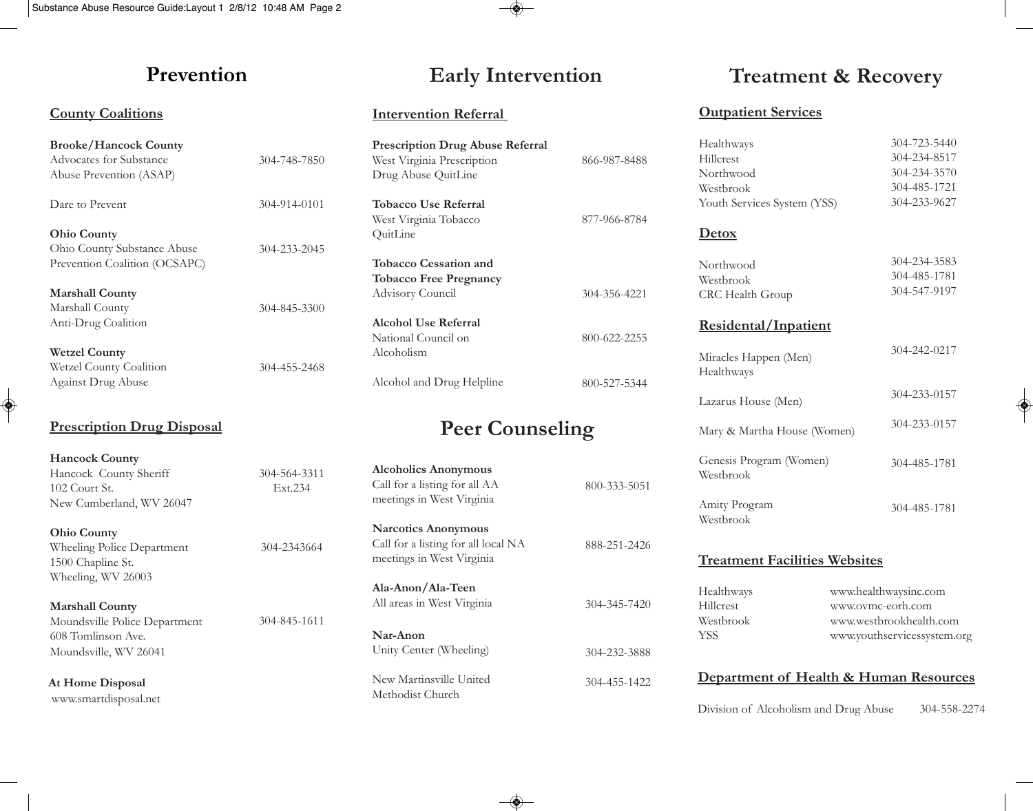### **Prevention**

### **County Coalitions**

| <b>Brooke/Hancock County</b>          |              |
|---------------------------------------|--------------|
| Advocates for Substance               | 304-748-7850 |
| Abuse Prevention (ASAP)               |              |
|                                       |              |
| Dare to Prevent                       | 304-914-0101 |
|                                       |              |
| <b>Ohio County</b>                    |              |
| Ohio County Substance Abuse           | 304-233-2045 |
| Prevention Coalition (OCSAPC)         |              |
| <b>Marshall County</b>                |              |
| Marshall County                       | 304-845-3300 |
|                                       |              |
| Anti-Drug Coalition                   |              |
| <b>Wetzel County</b>                  |              |
| Wetzel County Coalition               | 304-455-2468 |
| <b>Against Drug Abuse</b>             |              |
| <b>Prescription Drug Disposal</b>     |              |
|                                       |              |
| <b>Hancock County</b>                 |              |
| Hancock County Sheriff                | 304-564-3311 |
| 102 Court St.                         | Ext.234      |
| New Cumberland, WV 26047              |              |
| <b>Ohio County</b>                    |              |
| Wheeling Police Department            | 304-2343664  |
| 1500 Chapline St.                     |              |
|                                       |              |
| Wheeling, WV 26003                    |              |
| <b>Marshall County</b>                |              |
| Moundsville Police Department         | 304-845-1611 |
| $(0.0 \text{ T} \cdot \dots \cdot 1)$ |              |

608 Tomlinson Ave. Moundsville, WV 26041

**At Home Disposal** www.smartdisposal.net

 $\color{red} \diamond$ 

 $\circledast$ 

### **Intervention Referral**

| <b>Prescription Drug Abuse Referral</b><br>West Virginia Prescription<br>Drug Abuse QuitLine | 866-987-8488 |
|----------------------------------------------------------------------------------------------|--------------|
| <b>Tobacco Use Referral</b><br>West Virginia Tobacco<br>QuitLine                             | 877-966-8784 |
| <b>Tobacco Cessation and</b><br><b>Tobacco Free Pregnancy</b><br>Advisory Council            | 304-356-4221 |
| Alcohol Use Referral<br>National Council on<br>Alcoholism                                    | 800-622-2255 |
| Alcohol and Drug Helpline                                                                    | 800-527-5344 |

### **Peer Counseling**

| <b>Alcoholics Anonymous</b><br>Call for a listing for all AA<br>meetings in West Virginia      | 800-333-5051 |
|------------------------------------------------------------------------------------------------|--------------|
| <b>Narcotics Anonymous</b><br>Call for a listing for all local NA<br>meetings in West Virginia | 888-251-2426 |
| Ala-Anon/Ala-Teen<br>All areas in West Virginia                                                | 304-345-7420 |
| Nar-Anon<br>Unity Center (Wheeling)                                                            | 304-232-3888 |
| New Martinsville United<br>Methodist Church                                                    | 304-455-1422 |

 $\overline{\bullet}$ 

### **Early Intervention Treatment & Recovery**

#### **Outpatient Services**

| Healthways                           |                         | 304-723-5440                |  |
|--------------------------------------|-------------------------|-----------------------------|--|
| Hillcrest                            |                         | 304-234-8517                |  |
| Northwood                            |                         | 304-234-3570                |  |
| Westbrook                            |                         | 304-485-1721                |  |
| Youth Services System (YSS)          |                         | 304-233-9627                |  |
| <b>Detox</b>                         |                         |                             |  |
| Northwood                            |                         | 304-234-3583                |  |
| Westbrook                            |                         | 304-485-1781                |  |
| CRC Health Group                     |                         | 304-547-9197                |  |
| Residental/Inpatient                 |                         |                             |  |
| Miracles Happen (Men)                |                         | 304-242-0217                |  |
| Healthways                           |                         |                             |  |
| Lazarus House (Men)                  |                         | 304-233-0157                |  |
| Mary & Martha House (Women)          |                         | 304-233-0157                |  |
| Genesis Program (Women)              |                         | 304-485-1781                |  |
| Westbrook                            |                         |                             |  |
| Amity Program                        |                         | 304-485-1781                |  |
| Westbrook                            |                         |                             |  |
| <b>Treatment Facilities Websites</b> |                         |                             |  |
| Healthways                           |                         | www.healthwaysinc.com       |  |
| Hillcrest                            | www.ovmc-eorh.com       |                             |  |
|                                      | www.westbrookhealth.com |                             |  |
| Westbrook                            |                         | www.youthservicessystem.org |  |

Division of Alcoholism and Drug Abuse 304-558-2274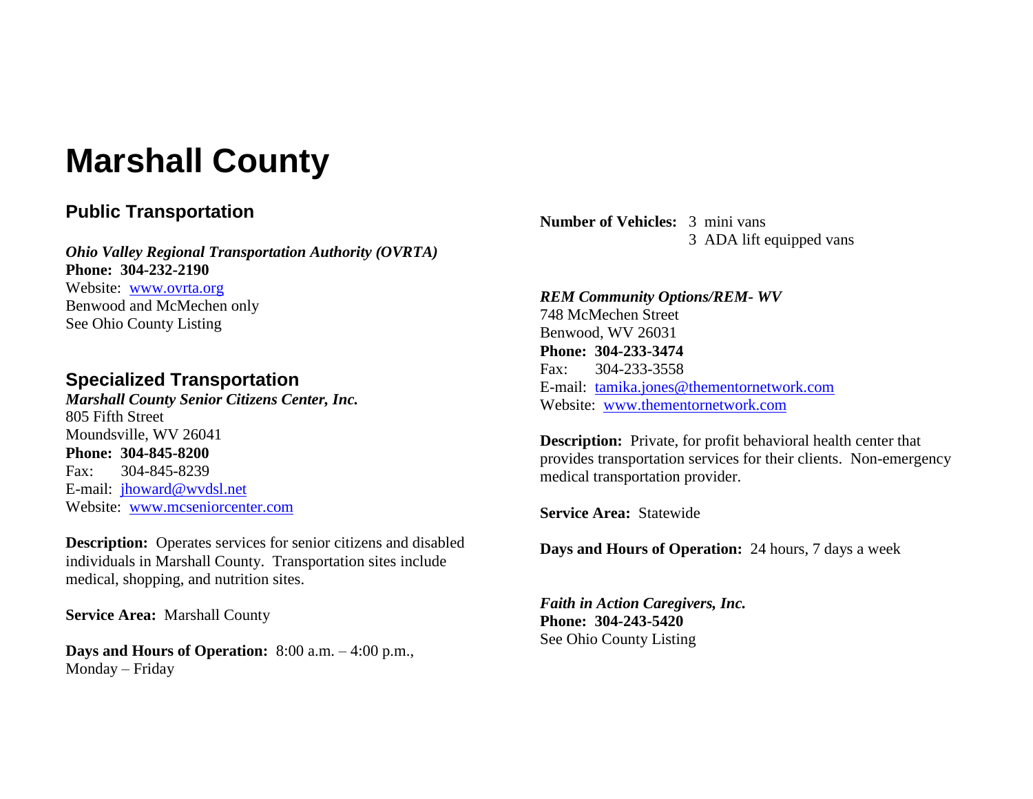# **Marshall County**

### **Public Transportation**

*Ohio Valley Regional Transportation Authority (OVRTA)* **Phone: 304-232-2190** Website: [www.ovrta.org](http://www.ovrta.org/) Benwood and McMechen only See Ohio County Listing

### **Specialized Transportation**

*Marshall County Senior Citizens Center, Inc.* 805 Fifth Street Moundsville, WV 26041 **Phone: 304-845-8200** Fax: 304-845-8239 E-mail: [jhoward@wvdsl.net](mailto:jhoward@wvdsl.net) Website: [www.mcseniorcenter.com](http://www.mcseniorcenter.com/)

**Description:** Operates services for senior citizens and disabled individuals in Marshall County. Transportation sites include medical, shopping, and nutrition sites.

**Service Area:** Marshall County

**Days and Hours of Operation:** 8:00 a.m. – 4:00 p.m., Monday – Friday

**Number of Vehicles:** 3 mini vans 3 ADA lift equipped vans

*REM Community Options/REM- WV* 748 McMechen Street Benwood, WV 26031 **Phone: 304-233-3474** Fax: 304-233-3558 E-mail: [tamika.jones@thementornetwork.com](mailto:tamika.jones@thementornetwork.com) Website: [www.thementornetwork.com](http://www.thementornetwork.com/)

**Description:** Private, for profit behavioral health center that provides transportation services for their clients. Non-emergency medical transportation provider.

**Service Area:** Statewide

**Days and Hours of Operation:** 24 hours, 7 days a week

*Faith in Action Caregivers, Inc.* **Phone: 304-243-5420** See Ohio County Listing